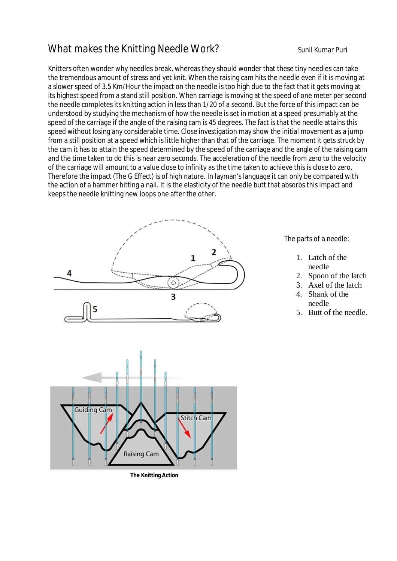## What makes the Knitting Needle Work? Sunil Kumar Puri

Knitters often wonder why needles break, whereas they should wonder that these tiny needles can take the tremendous amount of stress and yet knit. When the raising cam hits the needle even if it is moving at a slower speed of 3.5 Km/Hour the impact on the needle is too high due to the fact that it gets moving at its highest speed from a stand still position. When carriage is moving at the speed of one meter per second the needle completes its knitting action in less than 1/20 of a second. But the force of this impact can be understood by studying the mechanism of how the needle is set in motion at a speed presumably at the speed of the carriage if the angle of the raising cam is 45 degrees. The fact is that the needle attains this speed without losing any considerable time. Close investigation may show the initial movement as a jump from a still position at a speed which is little higher than that of the carriage. The moment it gets struck by the cam it has to attain the speed determined by the speed of the carriage and the angle of the raising cam and the time taken to do this is near zero seconds. The acceleration of the needle from zero to the velocity of the carriage will amount to a value close to infinity as the time taken to achieve this is close to zero. Therefore the impact (The G Effect) is of high nature. In layman's language it can only be compared with the action of a hammer hitting a nail. It is the elasticity of the needle butt that absorbs this impact and keeps the needle knitting new loops one after the other.



**The Knitting Action**

The parts of a needle:

- 1. Latch of the needle
- 2. Spoon of the latch
- 3. Axel of the latch
- 4. Shank of the needle
- 5. Butt of the needle.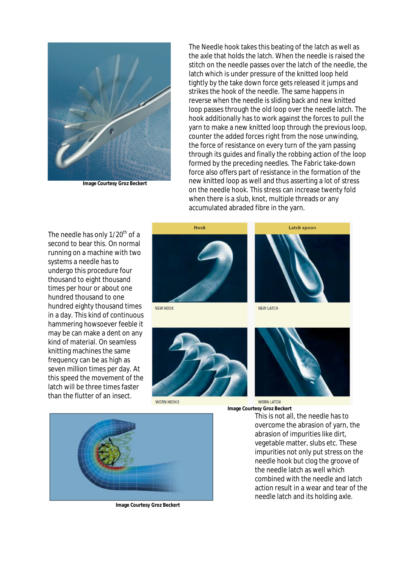

**Image Courtesy Groz Beckert**

The Needle hook takes this beating of the latch as well as the axle that holds the latch. When the needle is raised the stitch on the needle passes over the latch of the needle, the latch which is under pressure of the knitted loop held tightly by the take down force gets released it jumps and strikes the hook of the needle. The same happens in reverse when the needle is sliding back and new knitted loop passes through the old loop over the needle latch. The hook additionally has to work against the forces to pull the yarn to make a new knitted loop through the previous loop, counter the added forces right from the nose unwinding, the force of resistance on every turn of the yarn passing through its guides and finally the robbing action of the loop formed by the preceding needles. The Fabric take-down force also offers part of resistance in the formation of the new knitted loop as well and thus asserting a lot of stress on the needle hook. This stress can increase twenty fold when there is a slub, knot, multiple threads or any accumulated abraded fibre in the yarn.

The needle has only 1/20<sup>th</sup> of a second to bear this. On normal running on a machine with two systems a needle has to undergo this procedure four thousand to eight thousand times per hour or about one hundred thousand to one hundred eighty thousand times in a day. This kind of continuous hammering howsoever feeble it may be can make a dent on any kind of material. On seamless knitting machines the same frequency can be as high as seven million times per day. At this speed the movement of the latch will be three times faster than the flutter of an insect.



NEW HOOK



**WORN HOOKS** 



**NEW LATCH** 



**WORN LATCH Image Courtesy Groz Beckert**

This is not all, the needle has to overcome the abrasion of yarn, the abrasion of impurities like dirt, vegetable matter, slubs etc. These impurities not only put stress on the needle hook but clog the groove of the needle latch as well which combined with the needle and latch action result in a wear and tear of the needle latch and its holding axle.



**Image Courtesy Groz Beckert**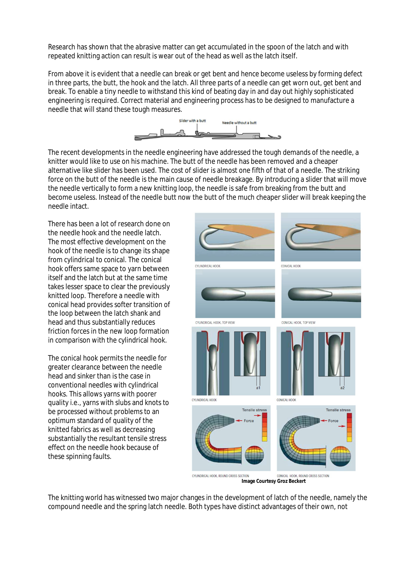Research has shown that the abrasive matter can get accumulated in the spoon of the latch and with repeated knitting action can result is wear out of the head as well as the latch itself.

From above it is evident that a needle can break or get bent and hence become useless by forming defect in three parts, the butt, the hook and the latch. All three parts of a needle can get worn out, get bent and break. To enable a tiny needle to withstand this kind of beating day in and day out highly sophisticated engineering is required. Correct material and engineering process has to be designed to manufacture a needle that will stand these tough measures.



The recent developments in the needle engineering have addressed the tough demands of the needle, a knitter would like to use on his machine. The butt of the needle has been removed and a cheaper alternative like slider has been used. The cost of slider is almost one fifth of that of a needle. The striking force on the butt of the needle is the main cause of needle breakage. By introducing a slider that will move the needle vertically to form a new knitting loop, the needle is safe from breaking from the butt and become useless. Instead of the needle butt now the butt of the much cheaper slider will break keeping the needle intact.

There has been a lot of research done on the needle hook and the needle latch. The most effective development on the hook of the needle is to change its shape from cylindrical to conical. The conical hook offers same space to yarn between itself and the latch but at the same time takes lesser space to clear the previously knitted loop. Therefore a needle with conical head provides softer transition of the loop between the latch shank and head and thus substantially reduces friction forces in the new loop formation in comparison with the cylindrical hook.

The conical hook permits the needle for greater clearance between the needle head and sinker than is the case in conventional needles with cylindrical hooks. This allows yarns with poorer quality i.e., yarns with slubs and knots to be processed without problems to an optimum standard of quality of the knitted fabrics as well as decreasing substantially the resultant tensile stress effect on the needle hook because of these spinning faults.



**Image Courtesy Groz Beckert**

The knitting world has witnessed two major changes in the development of latch of the needle, namely the compound needle and the spring latch needle. Both types have distinct advantages of their own, not